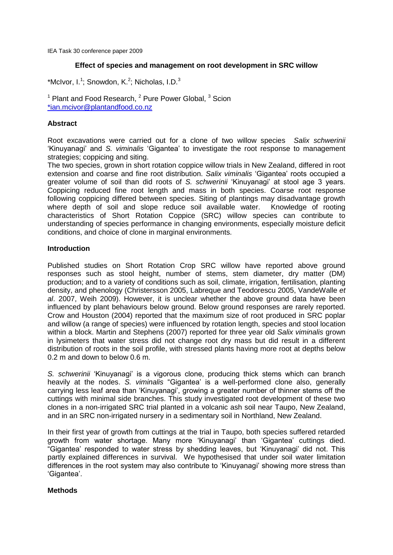IEA Task 30 conference paper 2009

## **Effect of species and management on root development in SRC willow**

\*McIvor, I.<sup>1</sup>; Snowdon, K.<sup>2</sup>; Nicholas, I.D.<sup>3</sup>

 $1$  Plant and Food Research,  $2$  Pure Power Global,  $3$  Scion [\\*ian.mcivor@plantandfood.co.nz](mailto:*ian.mcivor@plantandfood.co.nz)

## **Abstract**

Root excavations were carried out for a clone of two willow species *Salix schwerinii* 'Kinuyanagi' and *S. viminalis* 'Gigantea' to investigate the root response to management strategies; coppicing and siting.

The two species, grown in short rotation coppice willow trials in New Zealand, differed in root extension and coarse and fine root distribution. *Salix viminalis* 'Gigantea' roots occupied a greater volume of soil than did roots of *S. schwerinii* 'Kinuyanagi' at stool age 3 years. Coppicing reduced fine root length and mass in both species. Coarse root response following coppicing differed between species. Siting of plantings may disadvantage growth where depth of soil and slope reduce soil available water. Knowledge of rooting characteristics of Short Rotation Coppice (SRC) willow species can contribute to understanding of species performance in changing environments, especially moisture deficit conditions, and choice of clone in marginal environments.

## **Introduction**

Published studies on Short Rotation Crop SRC willow have reported above ground responses such as stool height, number of stems, stem diameter, dry matter (DM) production; and to a variety of conditions such as soil, climate, irrigation, fertilisation, planting density, and phenology (Christersson 2005, Labreque and Teodorescu 2005, VandeWalle *et al*. 2007, Weih 2009). However, it is unclear whether the above ground data have been influenced by plant behaviours below ground. Below ground responses are rarely reported. Crow and Houston (2004) reported that the maximum size of root produced in SRC poplar and willow (a range of species) were influenced by rotation length, species and stool location within a block. Martin and Stephens (2007) reported for three year old *Salix viminalis* grown in lysimeters that water stress did not change root dry mass but did result in a different distribution of roots in the soil profile, with stressed plants having more root at depths below 0.2 m and down to below 0.6 m.

*S. schwerinii* 'Kinuyanagi' is a vigorous clone, producing thick stems which can branch heavily at the nodes. *S. viminalis* "Gigantea' is a well-performed clone also, generally carrying less leaf area than 'Kinuyanagi', growing a greater number of thinner stems off the cuttings with minimal side branches. This study investigated root development of these two clones in a non-irrigated SRC trial planted in a volcanic ash soil near Taupo, New Zealand, and in an SRC non-irrigated nursery in a sedimentary soil in Northland, New Zealand.

In their first year of growth from cuttings at the trial in Taupo, both species suffered retarded growth from water shortage. Many more 'Kinuyanagi' than 'Gigantea' cuttings died. "Gigantea' responded to water stress by shedding leaves, but 'Kinuyanagi' did not. This partly explained differences in survival. We hypothesised that under soil water limitation differences in the root system may also contribute to 'Kinuyanagi' showing more stress than 'Gigantea'.

### **Methods**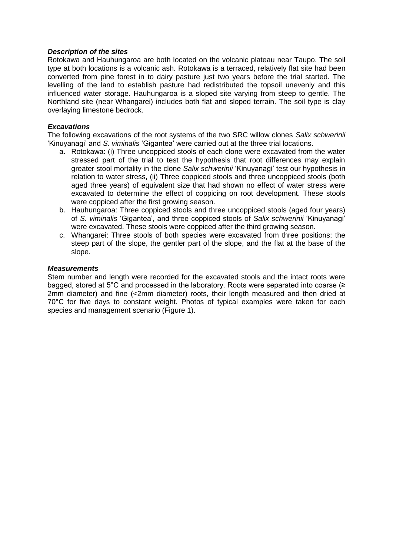## *Description of the sites*

Rotokawa and Hauhungaroa are both located on the volcanic plateau near Taupo. The soil type at both locations is a volcanic ash. Rotokawa is a terraced, relatively flat site had been converted from pine forest in to dairy pasture just two years before the trial started. The levelling of the land to establish pasture had redistributed the topsoil unevenly and this influenced water storage. Hauhungaroa is a sloped site varying from steep to gentle. The Northland site (near Whangarei) includes both flat and sloped terrain. The soil type is clay overlaying limestone bedrock.

## *Excavations*

The following excavations of the root systems of the two SRC willow clones *Salix schwerinii* 'Kinuyanagi' and *S. viminalis* 'Gigantea' were carried out at the three trial locations.

- a. Rotokawa: (i) Three uncoppiced stools of each clone were excavated from the water stressed part of the trial to test the hypothesis that root differences may explain greater stool mortality in the clone *Salix schwerinii* 'Kinuyanagi' test our hypothesis in relation to water stress, (ii) Three coppiced stools and three uncoppiced stools (both aged three years) of equivalent size that had shown no effect of water stress were excavated to determine the effect of coppicing on root development. These stools were coppiced after the first growing season.
- b. Hauhungaroa: Three coppiced stools and three uncoppiced stools (aged four years) of *S. viminalis* 'Gigantea', and three coppiced stools of *Salix schwerinii* 'Kinuyanagi' were excavated. These stools were coppiced after the third growing season.
- c. Whangarei: Three stools of both species were excavated from three positions; the steep part of the slope, the gentler part of the slope, and the flat at the base of the slope.

### *Measurements*

Stem number and length were recorded for the excavated stools and the intact roots were bagged, stored at 5°C and processed in the laboratory. Roots were separated into coarse (≥ 2mm diameter) and fine (<2mm diameter) roots, their length measured and then dried at 70°C for five days to constant weight. Photos of typical examples were taken for each species and management scenario (Figure 1).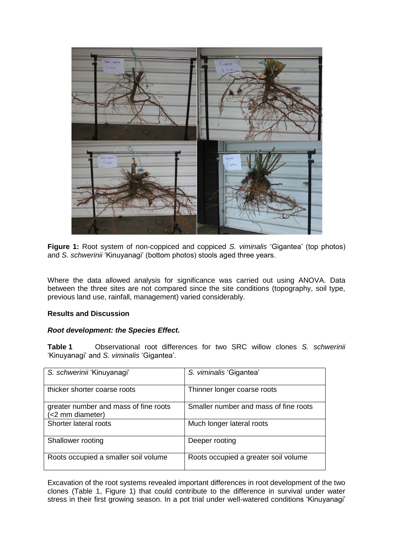

**Figure 1:** Root system of non-coppiced and coppiced *S. viminalis* 'Gigantea' (top photos) and *S. schwerinii* 'Kinuyanagi' (bottom photos) stools aged three years.

Where the data allowed analysis for significance was carried out using ANOVA. Data between the three sites are not compared since the site conditions (topography, soil type, previous land use, rainfall, management) varied considerably.

# **Results and Discussion**

### *Root development: the Species Effect.*

**Table 1** Observational root differences for two SRC willow clones *S. schwerinii* 'Kinuyanagi' and *S. viminalis* 'Gigantea'.

| S. schwerinii 'Kinuyanagi'                                | S. viminalis 'Gigantea'               |
|-----------------------------------------------------------|---------------------------------------|
| thicker shorter coarse roots                              | Thinner longer coarse roots           |
| greater number and mass of fine roots<br>(<2 mm diameter) | Smaller number and mass of fine roots |
| Shorter lateral roots                                     | Much longer lateral roots             |
| Shallower rooting                                         | Deeper rooting                        |
| Roots occupied a smaller soil volume                      | Roots occupied a greater soil volume  |

Excavation of the root systems revealed important differences in root development of the two clones (Table 1, Figure 1) that could contribute to the difference in survival under water stress in their first growing season. In a pot trial under well-watered conditions 'Kinuyanagi'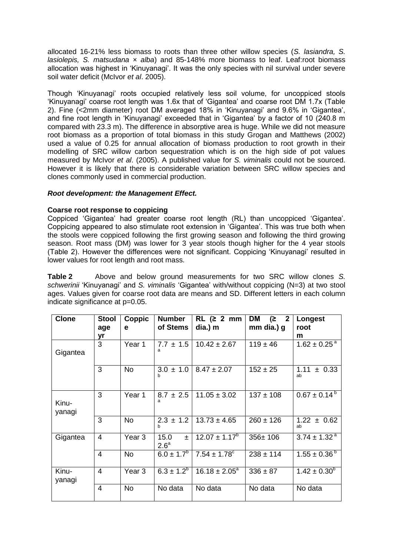allocated 16-21% less biomass to roots than three other willow species (*S. lasiandra, S. lasiolepis, S. matsudana × alba*) and 85-148% more biomass to leaf. Leaf:root biomass allocation was highest in 'Kinuyanagi'. It was the only species with nil survival under severe soil water deficit (McIvor *et al*. 2005).

Though 'Kinuyanagi' roots occupied relatively less soil volume, for uncoppiced stools 'Kinuyanagi' coarse root length was 1.6x that of 'Gigantea' and coarse root DM 1.7x (Table 2). Fine (<2mm diameter) root DM averaged 18% in 'Kinuyanagi' and 9.6% in 'Gigantea', and fine root length in 'Kinuyanagi' exceeded that in 'Gigantea' by a factor of 10 (240.8 m compared with 23.3 m). The difference in absorptive area is huge. While we did not measure root biomass as a proportion of total biomass in this study Grogan and Matthews (2002) used a value of 0.25 for annual allocation of biomass production to root growth in their modelling of SRC willow carbon sequestration which is on the high side of pot values measured by McIvor *et al*. (2005). A published value for *S. viminalis* could not be sourced. However it is likely that there is considerable variation between SRC willow species and clones commonly used in commercial production.

# *Root development: the Management Effect.*

## **Coarse root response to coppicing**

Coppiced 'Gigantea' had greater coarse root length (RL) than uncoppiced 'Gigantea'. Coppicing appeared to also stimulate root extension in 'Gigantea'. This was true both when the stools were coppiced following the first growing season and following the third growing season. Root mass (DM) was lower for 3 year stools though higher for the 4 year stools (Table 2). However the differences were not significant. Coppicing 'Kinuyanagi' resulted in lower values for root length and root mass.

**Table 2** Above and below ground measurements for two SRC willow clones *S. schwerinii* 'Kinuyanagi' and *S. viminalis* 'Gigantea' with/without coppicing (N=3) at two stool ages. Values given for coarse root data are means and SD. Different letters in each column indicate significance at p=0.05.

| <b>Clone</b>    | <b>Stool</b> | Coppic    | <b>Number</b>                 | RL (2 2 mm)                  | <b>DM</b><br>$(2 \quad 2)$ | <b>Longest</b>               |
|-----------------|--------------|-----------|-------------------------------|------------------------------|----------------------------|------------------------------|
|                 | age          | е         | of Stems                      | dia.) m                      | mm dia.) g                 | root                         |
|                 | yr           |           |                               |                              |                            | m                            |
| Gigantea        | 3            | Year 1    | $7.7 \pm 1.5$<br>a            | $10.42 \pm 2.67$             | $119 \pm 46$               | $1.62 \pm 0.25$ <sup>a</sup> |
|                 | 3            | <b>No</b> | $3.0 \pm 1.0$<br>h            | $8.47 \pm 2.07$              | $152 \pm 25$               | 1.11<br>± 0.33<br>ab         |
| Kinu-<br>yanagi | 3            | Year 1    | $8.7 \pm 2.5$<br>a            | $11.05 \pm 3.02$             | $137 \pm 108$              | $0.67 \pm 0.14^{\text{b}}$   |
|                 | 3            | <b>No</b> | $2.3 \pm 1.2$                 | $13.73 \pm 4.65$             | $260 \pm 126$              | $1.22 \pm 0.62$<br>ab        |
| Gigantea        | 4            | Year 3    | 15.0<br>士<br>2.6 <sup>a</sup> | $12.07 \pm 1.17^b$           | 356±106                    | $3.74 \pm 1.32$ <sup>a</sup> |
|                 | 4            | <b>No</b> | $6.0 \pm 1.7^{b}$             | $7.54 \pm 1.78$ <sup>c</sup> | $238 \pm 114$              | $1.55 \pm 0.36^{\circ}$      |
| Kinu-<br>yanagi | 4            | Year 3    | $6.3 \pm 1.2^b$               | $16.18 \pm 2.05^a$           | $336 \pm 87$               | $1.42 \pm 0.30^b$            |
|                 | 4            | No        | No data                       | No data                      | No data                    | No data                      |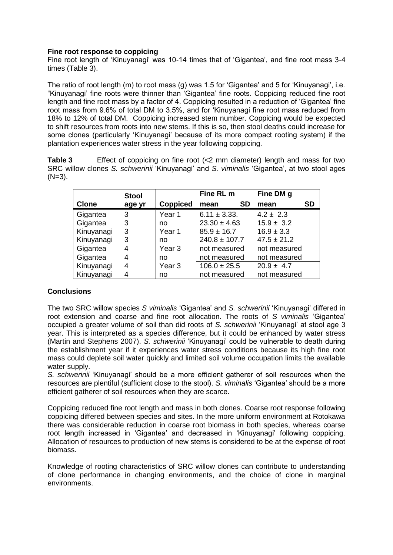## **Fine root response to coppicing**

Fine root length of 'Kinuyanagi' was 10-14 times that of 'Gigantea', and fine root mass 3-4 times (Table 3).

The ratio of root length (m) to root mass (g) was 1.5 for 'Gigantea' and 5 for 'Kinuyanagi', i.e. "Kinuyanagi' fine roots were thinner than 'Gigantea' fine roots. Coppicing reduced fine root length and fine root mass by a factor of 4. Coppicing resulted in a reduction of 'Gigantea' fine root mass from 9.6% of total DM to 3.5%, and for 'Kinuyanagi fine root mass reduced from 18% to 12% of total DM. Coppicing increased stem number. Coppicing would be expected to shift resources from roots into new stems. If this is so, then stool deaths could increase for some clones (particularly 'Kinuyanagi' because of its more compact rooting system) if the plantation experiences water stress in the year following coppicing.

**Table 3** Effect of coppicing on fine root (<2 mm diameter) length and mass for two SRC willow clones *S. schwerinii* 'Kinuyanagi' and *S. viminalis* 'Gigantea', at two stool ages  $(N=3)$ .

|              | <b>Stool</b> |                   | Fine RL m         | Fine DM g       |
|--------------|--------------|-------------------|-------------------|-----------------|
| <b>Clone</b> | age yr       | <b>Coppiced</b>   | <b>SD</b><br>mean | SD<br>mean      |
| Gigantea     | 3            | Year 1            | $6.11 \pm 3.33$ . | $4.2 \pm 2.3$   |
| Gigantea     | 3            | no                | $23.30 \pm 4.63$  | $15.9 \pm 3.2$  |
| Kinuyanagi   | 3            | Year 1            | $85.9 \pm 16.7$   | $16.9 \pm 3.3$  |
| Kinuyanagi   | 3            | no                | $240.8 \pm 107.7$ | $47.5 \pm 21.2$ |
| Gigantea     | 4            | Year <sub>3</sub> | not measured      | not measured    |
| Gigantea     | 4            | no                | not measured      | not measured    |
| Kinuyanagi   | 4            | Year <sub>3</sub> | $106.0 \pm 25.5$  | $20.9 \pm 4.7$  |
| Kinuyanagi   | 4            | no                | not measured      | not measured    |

# **Conclusions**

The two SRC willow species *S viminalis* 'Gigantea' and *S. schwerinii* 'Kinuyanagi' differed in root extension and coarse and fine root allocation. The roots of *S viminalis* 'Gigantea' occupied a greater volume of soil than did roots of *S. schwerinii* 'Kinuyanagi' at stool age 3 year. This is interpreted as a species difference, but it could be enhanced by water stress (Martin and Stephens 2007). *S. schwerinii* 'Kinuyanagi' could be vulnerable to death during the establishment year if it experiences water stress conditions because its high fine root mass could deplete soil water quickly and limited soil volume occupation limits the available water supply.

*S. schwerinii* 'Kinuyanagi' should be a more efficient gatherer of soil resources when the resources are plentiful (sufficient close to the stool). *S. viminalis* 'Gigantea' should be a more efficient gatherer of soil resources when they are scarce.

Coppicing reduced fine root length and mass in both clones. Coarse root response following coppicing differed between species and sites. In the more uniform environment at Rotokawa there was considerable reduction in coarse root biomass in both species, whereas coarse root length increased in 'Gigantea' and decreased in 'Kinuyanagi' following coppicing. Allocation of resources to production of new stems is considered to be at the expense of root biomass.

Knowledge of rooting characteristics of SRC willow clones can contribute to understanding of clone performance in changing environments, and the choice of clone in marginal environments.